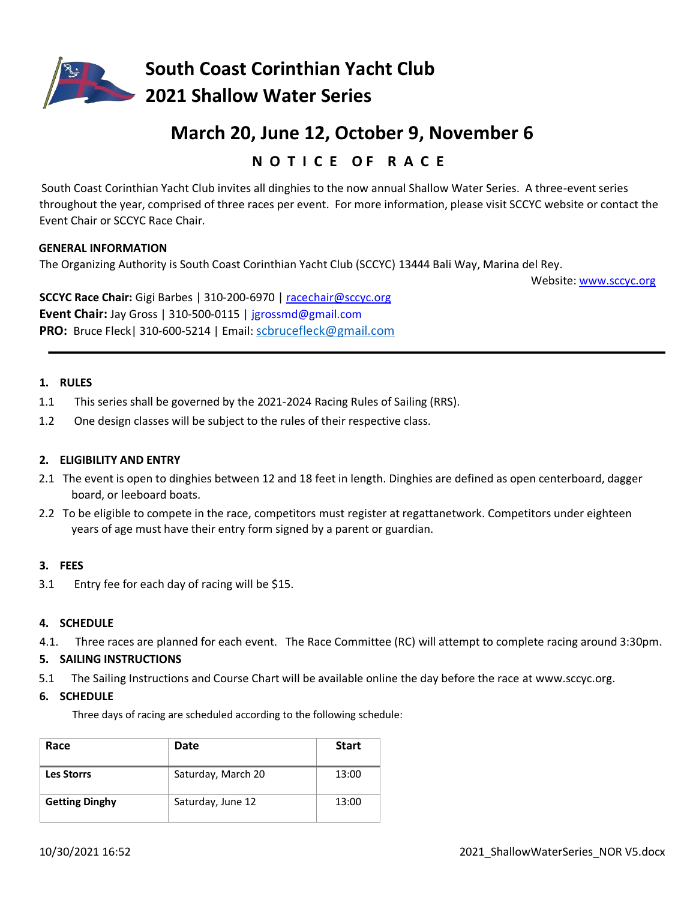

**South Coast Corinthian Yacht Club 2021 Shallow Water Series**

# **March 20, June 12, October 9, November 6**

## **N O T I C E O F R A C E**

South Coast Corinthian Yacht Club invites all dinghies to the now annual Shallow Water Series. A three-event series throughout the year, comprised of three races per event. For more information, please visit SCCYC website or contact the Event Chair or SCCYC Race Chair.

#### **GENERAL INFORMATION**

The Organizing Authority is South Coast Corinthian Yacht Club (SCCYC) 13444 Bali Way, Marina del Rey.

Website[: www.sccyc.org](http://www.sccyc.org/) 

**SCCYC Race Chair:** Gigi Barbes | 310-200-6970 | racechair@sccyc.org **Event Chair:** Jay Gross | 310-500-0115 | [jgrossmd@gmail.com](mailto:jgrossmd@gmail.com) **PRO:** Bruce Fleck| 310‐600-5214 | Email: [scbrucefleck@gmail.com](mailto:scbrucefleck@gmail.com)

#### **1. RULES**

- 1.1 This series shall be governed by the 2021-2024 Racing Rules of Sailing (RRS).
- 1.2 One design classes will be subject to the rules of their respective class.

#### **2. ELIGIBILITY AND ENTRY**

- 2.1 The event is open to dinghies between 12 and 18 feet in length. Dinghies are defined as open centerboard, dagger board, or leeboard boats.
- 2.2 To be eligible to compete in the race, competitors must register at regattanetwork. Competitors under eighteen years of age must have their entry form signed by a parent or guardian.

#### **3. FEES**

3.1 Entry fee for each day of racing will be \$15.

#### **4. SCHEDULE**

4.1. Three races are planned for each event. The Race Committee (RC) will attempt to complete racing around 3:30pm.

#### **5. SAILING INSTRUCTIONS**

5.1 The Sailing Instructions and Course Chart will be available online the day before the race at www.sccyc.org.

#### **6. SCHEDULE**

Three days of racing are scheduled according to the following schedule:

| Race                  | <b>Date</b>        | <b>Start</b> |
|-----------------------|--------------------|--------------|
| <b>Les Storrs</b>     | Saturday, March 20 | 13:00        |
| <b>Getting Dinghy</b> | Saturday, June 12  | 13:00        |